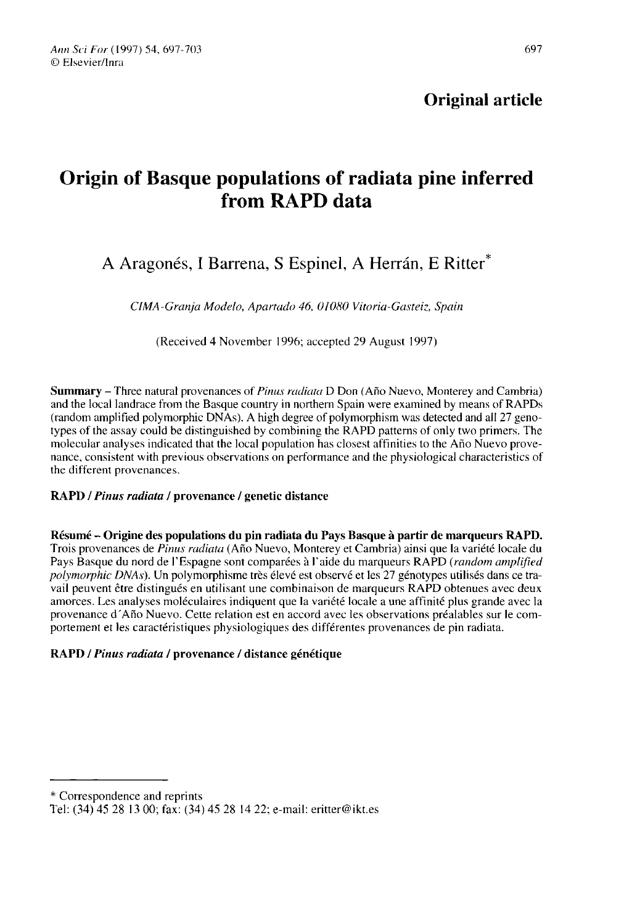# Origin of Basque populations of radiata pine inferred from RAPD data

## A Aragonés, I Barrena, S Espinel, A Herrán, E Ritter<sup>\*</sup>

CIMA-Granja Modelo, Apartado 46, 01080 Vitoria-Gasteiz, Spain

(Received 4 November 1996; accepted 29 August 1997)

Summary - Three natural provenances of *Pinus radiata* D Don (Año Nuevo, Monterey and Cambria) and the local landrace from the Basque country in northern Spain were examined by means of RAPDs (random amplified polymorphic DNAs). A high degree of polymorphism was detected and all 27 genotypes of the assay could be distinguished by combining the RAPD patterns of only two primers. The molecular analyses indicated that the local population has closest affinities to the Año Nuevo provenance, consistent with previous observations on performance and the physiological characteristics of the different provenances.

## RAPD / Pinus radiata / provenance / genetic distance

Résumé - Origine des populations du pin radiata du Pays Basque à partir de marqueurs RAPD. Trois provenances de Pinus radiata (Año Nuevo, Monterey et Cambria) ainsi que la variété locale du Pays Basque du nord de l'Espagne sont comparées à l'aide du marqueurs RAPD (*random amplified* polymorphic DNAs). Un polymorphisme très élevé est observé et les 27 génotypes utilisés dans ce travail peuvent être distingués en utilisant une combinaison de marqueurs RAPD obtenues avec deux amorces. Les analyses moléculaires indiquent que la variété locale a une affinité plus grande avec la provenance d'Año Nuevo. Cette relation est en accord avec les observations préalables sur le comportement et les caractéristiques physiologiques des différentes provenances de pin radiata.

## RAPD / Pinus radiata / provenance / distance génétique

<sup>\*</sup> Correspondence and reprints

Tel: (34) 45 28 13 00; fax: (34) 45 28 14 22; e-mail: eritter@ikt.es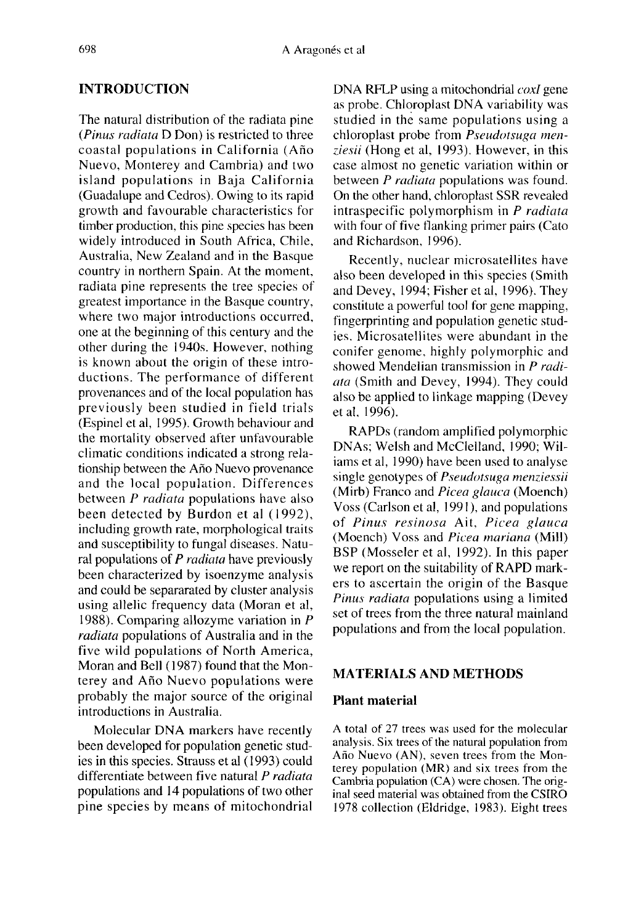## INTRODUCTION

The natural distribution of the radiata pine (Pinus radiata D Don) is restricted to three coastal populations in California (Año Nuevo, Monterey and Cambria) and two island populations in Baja California (Guadalupe and Cedros). Owing to its rapid growth and favourable characteristics for timber production, this pine species has been widely introduced in South Africa, Chile, Australia, New Zealand and in the Basque country in northern Spain. At the moment, radiata pine represents the tree species of greatest importance in the Basque country, where two major introductions occurred, one at the beginning of this century and the other during the 1940s. However, nothing is known about the origin of these introductions. The performance of different provenances and of the local population has previously been studied in field trials (Espinel et al, 1995). Growth behaviour and the mortality observed after unfavourable climatic conditions indicated a strong relationship between the Año Nuevo provenance and the local population. Differences between *P radiata* populations have also been detected by Burdon et al (1992), including growth rate, morphological traits and susceptibility to fungal diseases. Natural populations of  $P$  *radiata* have previously been characterized by isoenzyme analysis and could be separarated by cluster analysis using allelic frequency data (Moran et al, 1988). Comparing allozyme variation in P radiata populations of Australia and in the five wild populations of North America, Moran and Bell (1987) found that the Monterey and Año Nuevo populations were probably the major source of the original introductions in Australia.

Molecular DNA markers have recently been developed for population genetic studies in this species. Strauss et al (1993) could differentiate between five natural P radiata populations and 14 populations of two other pine species by means of mitochondrial DNA RFLP using a mitochondrial *coxI* gene as probe. Chloroplast DNA variability was studied in the same populations using a chloroplast probe from Pseudotsuga menziesii (Hong et al, 1993). However, in this case almost no genetic variation within or between *P radiata* populations was found. On the other hand, chloroplast SSR revealed intraspecific polymorphism in P radiata with four of five flanking primer pairs (Cato and Richardson, 1996).

Recently, nuclear microsatellites have also been developed in this species (Smith and Devey, 1994; Fisher et al, 1996). They constitute a powerful tool for gene mapping, fingerprinting and population genetic studies. Microsatellites were abundant in the conifer genome, highly polymorphic and showed Mendelian transmission in P radiata (Smith and Devey, 1994). They could also be applied to linkage mapping (Devey et al, 1996).

RAPDs (random amplified polymorphic DNAs; Welsh and McClelland, 1990; Wiliams et al, 1990) have been used to analyse single genotypes of Pseudotsuga menziessii (Mirb) Franco and *Picea glauca* (Moench) Voss (Carlson et al, 1991), and populations of Pinus resinosa Ait, Picea glauca (Moench) Voss and Picea mariana (Mill) BSP (Mosseler et al, 1992). In this paper we report on the suitability of RAPD markers to ascertain the origin of the Basque Pinus radiata populations using a limited set of trees from the three natural mainland populations and from the local population.

## MATERIALS AND METHODS

#### Plant material

A total of 27 trees was used for the molecular analysis. Six trees of the natural population from Año Nuevo (AN), seven trees from the Monterey population (MR) and six trees from the Cambria population (CA) were chosen. The original seed material was obtained from the CSIRO 1978 collection (Eldridge, 1983). Eight trees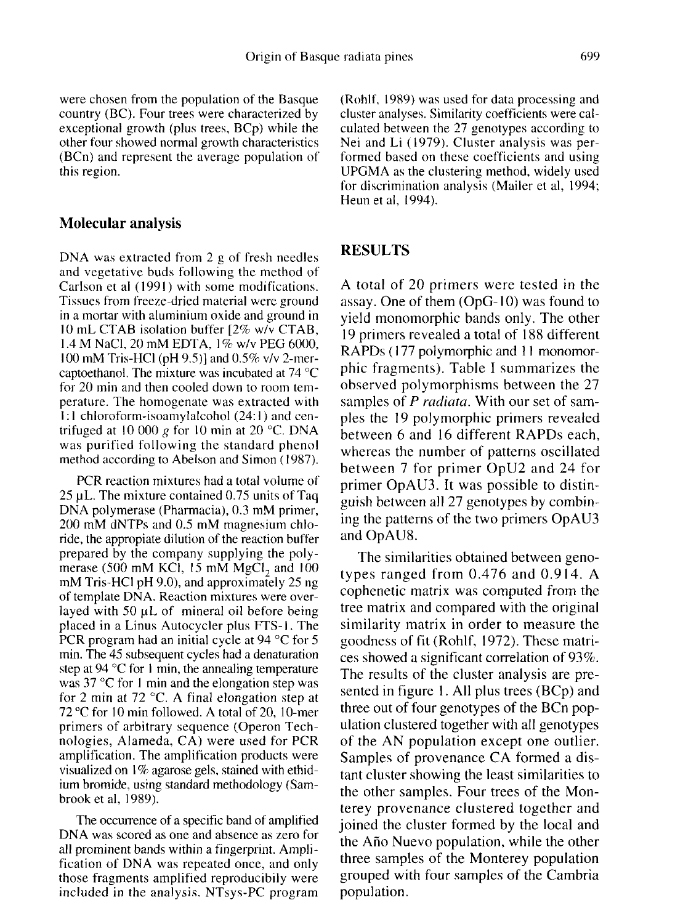were chosen from the population of the Basque country (BC). Four trees were characterized by exceptional growth (plus trees, BCp) while the other four showed normal growth characteristics (BCn) and represent the average population of this region.

#### Molecular analysis

DNA was extracted from 2 g of fresh needles and vegetative buds following the method of Carlson et al (1991) with some modifications. Tissues from freeze-dried material were ground in a mortar with aluminium oxide and ground in 10 mL CTAB isolation buffer [2% w/v CTAB, 1.4 M NaCl, 20 mM EDTA, 1% w/v PEG 6000, 100 mM Tris-HCl (pH 9.5)] and 0.5% v/v 2-mercaptoethanol. The mixture was incubated at 74 °C for 20 min and then cooled down to room temperature. The homogenate was extracted with 1:1 chloroform-isoamylalcohol (24:1) and centrifuged at 10 000 g for 10 min at 20 °C. DNA was purified following the standard phenol method according to Abelson and Simon (1987).

PCR reaction mixtures had a total volume of 25 μL. The mixture contained 0.75 units of Taq DNA polymerase (Pharmacia), 0.3 mM primer, 200 mM dNTPs and 0.5 mM magnesium chloride, the appropiate dilution of the reaction buffer<br>prepared by the company supplying the polymerase (500 mM KCl, 15 mM MgCl<sub>2</sub> and 100 mM Tris-HCl pH 9.0), and approximately 25 ng of template DNA. Reaction mixtures were overlayed with 50 μL of mineral oil before being placed in a Linus Autocycler plus FTS-1. The PCR program had an initial cycle at 94 °C for 5 min. The 45 subsequent cycles had a denaturation step at 94 °C for 1 min, the annealing temperature was 37 °C for 1 min and the elongation step was for 2 min at 72 °C. A final elongation step at 72 °C for 10 min followed. A total of 20, 10-mer primers of arbitrary sequence (Operon Technologies, Alameda, CA) were used for PCR amplification. The amplification products were visualized on 1% agarose gels, stained with ethidium bromide, using standard methodology (Sambrook et al, 1989).

The occurrence of a specific band of amplified DNA was scored as one and absence as zero for all prominent bands within a fingerprint. Amplification of DNA was repeated once, and only those fragments amplified reproducibily were included in the analysis. NTsys-PC program

(Rohlf, 1989) was used for data processing and cluster analyses. Similarity coefficients were calculated between the 27 genotypes according to Nei and Li (1979). Cluster analysis was performed based on these coefficients and using UPGMA as the clustering method, widely used for discrimination analysis (Mailer et al, 1994; Heun et al, 1994).

#### RESULTS

A total of 20 primers were tested in the assay. One of them (OpG-10) was found to yield monomorphic bands only. The other 19 primers revealed a total of 188 different RAPDs ( 177 polymorphic and 11 monomorphic fragments). Table I summarizes the observed polymorphisms between the 27 samples of *P radiata*. With our set of samples the 19 polymorphic primers revealed between 6 and 16 different RAPDs each, whereas the number of patterns oscillated between 7 for primer OpU2 and 24 for primer OpAU3. It was possible to distinguish between all 27 genotypes by combining the patterns of the two primers OpAU3 and OpAU8.

The similarities obtained between genotypes ranged from 0.476 and 0.914. A cophenetic matrix was computed from the tree matrix and compared with the original similarity matrix in order to measure the goodness of fit (Rohlf, 1972). These matrices showed a significant correlation of 93%. The results of the cluster analysis are presented in figure 1. All plus trees (BCp) and three out of four genotypes of the BCn population clustered together with all genotypes of the AN population except one outlier. Samples of provenance CA formed a distant cluster showing the least similarities to the other samples. Four trees of the Monterey provenance clustered together and joined the cluster formed by the local and the Año Nuevo population, while the other three samples of the Monterey population grouped with four samples of the Cambria population.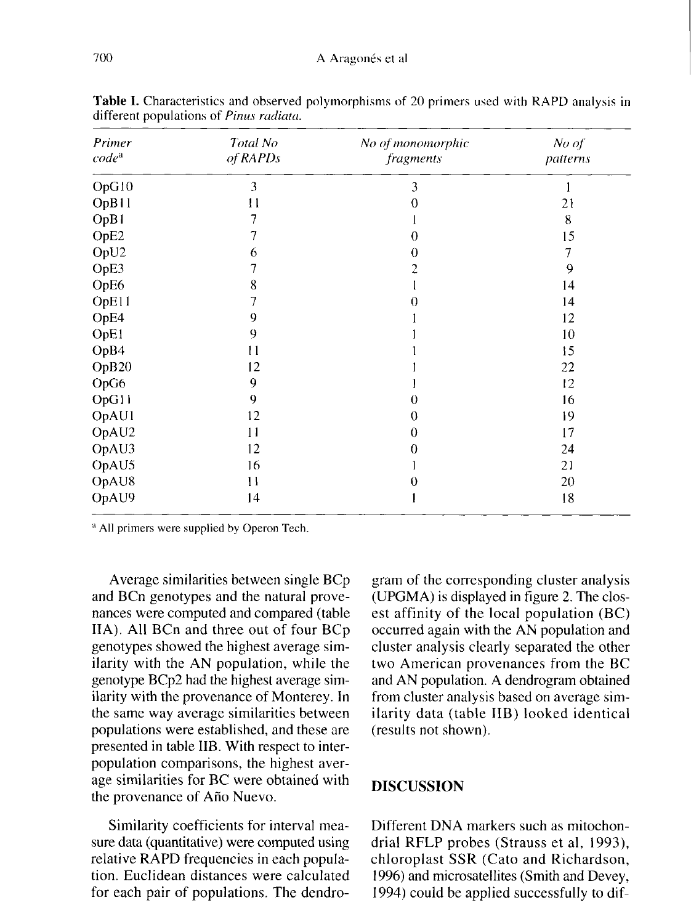| Primer<br>$code^a$ | Total No<br>of RAPDs | No of monomorphic<br>fragments | No of<br>patterns |
|--------------------|----------------------|--------------------------------|-------------------|
| OpG10              | 3                    | 3                              |                   |
| OpB11              | $\mathbf{1}$         | 0                              | 21                |
| OpB1               | 7                    |                                | 8                 |
| OpE2               | 7                    | 0                              | 15                |
| OpU2               | 6                    | 0                              | $\overline{7}$    |
| OpE3               |                      | 2                              | 9                 |
| OpE6               | 8                    |                                | 14                |
| OpE11              | 7                    | 0                              | 14                |
| OpE4               | 9                    |                                | 12                |
| OpE1               | 9                    |                                | 10                |
| OpB4               | 11                   |                                | 15                |
| OpB20              | 12                   |                                | 22                |
| OpG6               | 9                    |                                | 12                |
| OpG11              | 9                    | $\Omega$                       | 16                |
| OpAU1              | 12                   | 0                              | 19                |
| OpAU2              | 11                   | $\theta$                       | 17                |
| OpAU3              | 12                   | 0                              | 24                |
| OpAU5              | 16                   |                                | 21                |
| OpAU8              | $\mathbf{1}$         |                                | 20                |
| OpAU9              | 4                    |                                | 18                |

Table I. Characteristics and observed polymorphisms of 20 primers used with RAPD analysis in different populations of Pinus radiata.

<sup>a</sup> All primers were supplied by Operon Tech.

Average similarities between single BCp and BCn genotypes and the natural provenances were computed and compared (table IIA). All BCn and three out of four BCp genotypes showed the highest average similarity with the AN population, while the genotype BCp2 had the highest average similarity with the provenance of Monterey. In the same way average similarities between populations were established, and these are presented in table IIB. With respect to interpopulation comparisons, the highest average similarities for BC were obtained with the provenance of Año Nuevo.

Similarity coefficients for interval measure data (quantitative) were computed using relative RAPD frequencies in each population. Euclidean distances were calculated for each pair of populations. The dendro-

gram of the corresponding cluster analysis (UPGMA) is displayed in figure 2. The closest affinity of the local population (BC) occurred again with the AN population and cluster analysis clearly separated the other two American provenances from the BC and AN population. A dendrogram obtained from cluster analysis based on average similarity data (table IIB) looked identical (results not shown).

#### DISCUSSION

Different DNA markers such as mitochondrial RFLP probes (Strauss et al, 1993), chloroplast SSR (Cato and Richardson, 1996) and microsatellites (Smith and Devey, 1994) could be applied successfully to dif-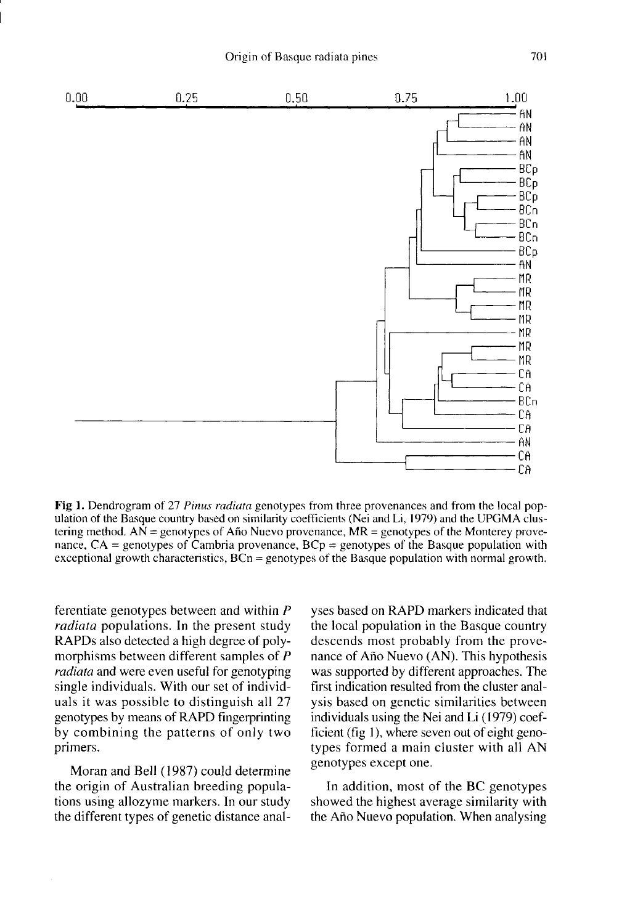

Fig 1. Dendrogram of 27 Pinus radiata genotypes from three provenances and from the local population of the Basque country based on similarity coefficients (Nei and Li, 1979) and the UPGMA clustering method.  $AN =$  genotypes of Año Nuevo provenance,  $MR =$  genotypes of the Monterey provenance,  $CA =$  genotypes of Cambria provenance,  $BCp =$  genotypes of the Basque population with exceptional growth characteristics,  $BCn =$  genotypes of the Basque population with normal growth.

ferentiate genotypes between and within P radiata populations. In the present study RAPDs also detected a high degree of polymorphisms between different samples of P radiata and were even useful for genotyping single individuals. With our set of individuals it was possible to distinguish all 27 genotypes by means of RAPD fingerprinting by combining the patterns of only two primers.

Moran and Bell (1987) could determine the origin of Australian breeding populations using allozyme markers. In our study the different types of genetic distance anal-

yses based on RAPD markers indicated that the local population in the Basque country descends most probably from the provenance of Año Nuevo (AN). This hypothesis was supported by different approaches. The first indication resulted from the cluster analysis based on genetic similarities between individuals using the Nei and Li (1979) coefficient (fig 1), where seven out of eight genotypes formed a main cluster with all AN genotypes except one.

In addition, most of the BC genotypes showed the highest average similarity with the Año Nuevo population. When analysing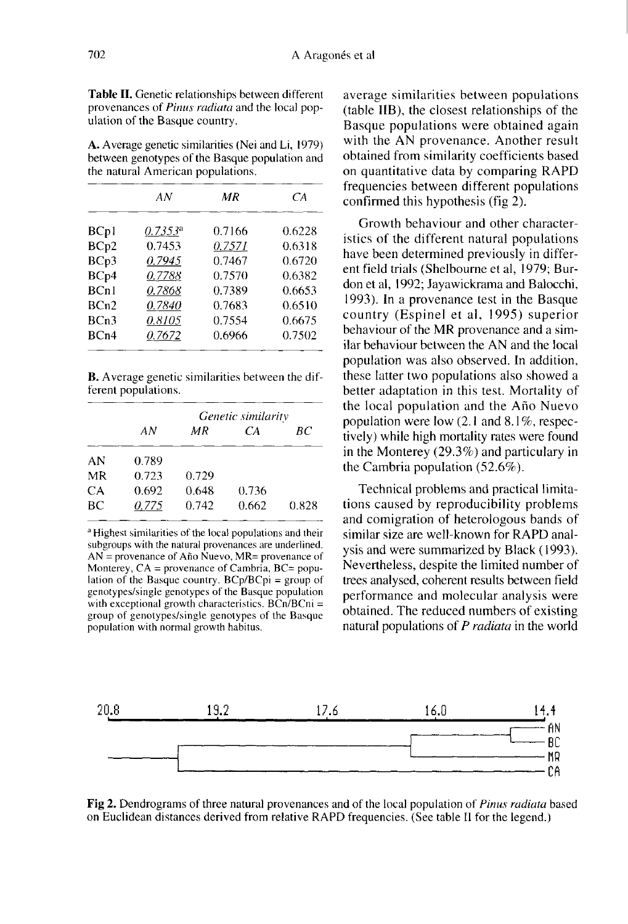Table II. Genetic relationships between different provenances of *Pinus radiata* and the local population of the Basque country.

A. Average genetic similarities (Nei and Li, 1979) between genotypes of the Basque population and the natural American populations.

|      | ΑN         | ΜR     | CА     |
|------|------------|--------|--------|
| BCp1 | $0.7353^a$ | 0.7166 | 0.6228 |
| BCp2 | 0.7453     | 0.7571 | 0.6318 |
| BCp3 | 0.7945     | 0.7467 | 0.6720 |
| BCp4 | 0.7788     | 0.7570 | 0.6382 |
| BCn1 | 0.7868     | 0.7389 | 0.6653 |
| BCn2 | 0.7840     | 0.7683 | 0.6510 |
| BCn3 | 0.8105     | 0.7554 | 0.6675 |
| BCn4 | 0.7672     | 0.6966 | 0.7502 |

**B.** Average genetic similarities between the different populations.

|    | Genetic similarity |       |       |       |  |  |
|----|--------------------|-------|-------|-------|--|--|
|    | ΑN                 | ΜR    | CА    | BС    |  |  |
| AN | 0.789              |       |       |       |  |  |
| MR | 0.723              | 0.729 |       |       |  |  |
| CA | 0.692              | 0.648 | 0.736 |       |  |  |
| BС | 0.775              | 0.742 | 0.662 | 0.828 |  |  |

<sup>a</sup> Highest similarities of the local populations and their subgroups with the natural provenances are underlined.  $AN =$  provenance of Año Nuevo,  $MR =$  provenance of Monterey, CA = provenance of Cambria, BC= population of the Basque country.  $BCp/BCpi = group$  of genotypes/single genotypes of the Basque population with exceptional growth characteristics.  $BCn/BCni =$ group of genotypes/single genotypes of the Basque population with normal growth habitus.

average similarities between populations (table IIB), the closest relationships of the Basque populations were obtained again with the AN provenance. Another result obtained from similarity coefficients based on quantitative data by comparing RAPD frequencies between different populations confirmed this hypothesis (fig 2).

Growth behaviour and other characteristics of the different natural populations have been determined previously in different field trials (Shelbourne et al, 1979; Burdon et al, 1992; Jayawickrama and Balocchi, 1993). In a provenance test in the Basque country (Espinel et al, 1995) superior behaviour of the MR provenance and a similar behaviour between the AN and the local population was also observed. In addition, these latter two populations also showed a better adaptation in this test. Mortality of the local population and the Año Nuevo population were low  $(2.1 \text{ and } 8.1\%$ , respectively) while high mortality rates were found in the Monterey (29.3%) and particulary in the Cambria population (52.6%).

Technical problems and practical limitations caused by reproducibility problems and comigration of heterologous bands of similar size are well-known for RAPD analysis and were summarized by Black (1993). Nevertheless, despite the limited number of trees analysed, coherent results between field performance and molecular analysis were obtained. The reduced numbers of existing natural populations of P *radiata* in the world



Fig 2. Dendrograms of three natural provenances and of the local population of *Pinus radiata* based on Euclidean distances derived from relative RAPD frequencies. (See table II for the legend.)